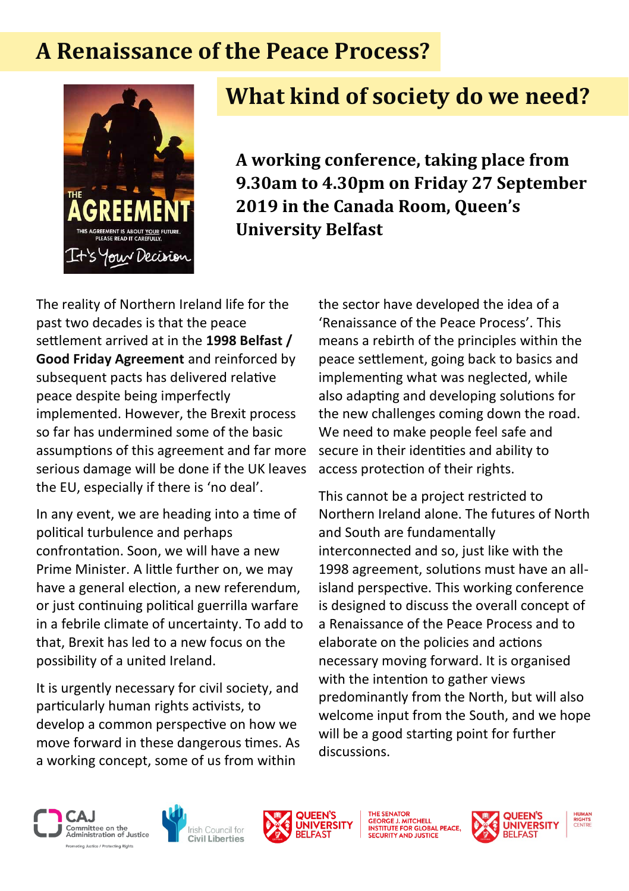## **A Renaissance of the Peace Process?**



# **What kind of society do we need?**

**A working conference, taking place from 9.30am to 4.30pm on Friday 27 September 2019 in the Canada Room, Queen's University Belfast**

The reality of Northern Ireland life for the past two decades is that the peace settlement arrived at in the **1998 Belfast / Good Friday Agreement** and reinforced by subsequent pacts has delivered relative peace despite being imperfectly implemented. However, the Brexit process so far has undermined some of the basic assumptions of this agreement and far more serious damage will be done if the UK leaves the EU, especially if there is 'no deal'.

In any event, we are heading into a time of political turbulence and perhaps confrontation. Soon, we will have a new Prime Minister. A little further on, we may have a general election, a new referendum, or just continuing political guerrilla warfare in a febrile climate of uncertainty. To add to that, Brexit has led to a new focus on the possibility of a united Ireland.

It is urgently necessary for civil society, and particularly human rights activists, to develop a common perspective on how we move forward in these dangerous times. As a working concept, some of us from within

the sector have developed the idea of a 'Renaissance of the Peace Process'. This means a rebirth of the principles within the peace settlement, going back to basics and implementing what was neglected, while also adapting and developing solutions for the new challenges coming down the road. We need to make people feel safe and secure in their identities and ability to access protection of their rights.

This cannot be a project restricted to Northern Ireland alone. The futures of North and South are fundamentally interconnected and so, just like with the 1998 agreement, solutions must have an allisland perspective. This working conference is designed to discuss the overall concept of a Renaissance of the Peace Process and to elaborate on the policies and actions necessary moving forward. It is organised with the intention to gather views predominantly from the North, but will also welcome input from the South, and we hope will be a good starting point for further discussions.







GEORGE J. MITCHELL<br>INSTITUTE FOR GLOBAL PE<br>SECURITY AND JUSTICE